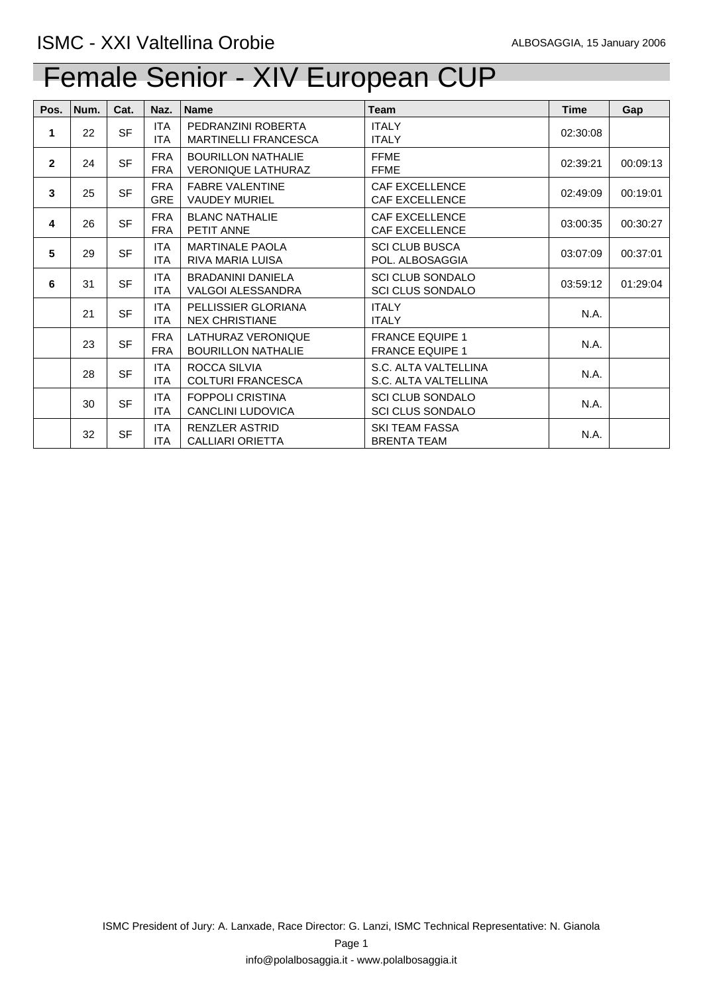| Pos.           | Num. | Cat.      | Naz.                     | <b>Name</b>                                            | <b>Team</b>                                        | <b>Time</b> | Gap      |
|----------------|------|-----------|--------------------------|--------------------------------------------------------|----------------------------------------------------|-------------|----------|
| 1              | 22   | <b>SF</b> | ITA<br><b>ITA</b>        | PEDRANZINI ROBERTA<br><b>MARTINELLI FRANCESCA</b>      | <b>ITALY</b><br><b>ITALY</b>                       | 02:30:08    |          |
| $\overline{2}$ | 24   | <b>SF</b> | <b>FRA</b><br><b>FRA</b> | <b>BOURILLON NATHALIE</b><br><b>VERONIQUE LATHURAZ</b> | <b>FFME</b><br><b>FFME</b>                         | 02:39:21    | 00:09:13 |
| 3              | 25   | <b>SF</b> | <b>FRA</b><br><b>GRE</b> | <b>FABRE VALENTINE</b><br><b>VAUDEY MURIEL</b>         | <b>CAF EXCELLENCE</b><br><b>CAF EXCELLENCE</b>     | 02:49:09    | 00:19:01 |
| 4              | 26   | <b>SF</b> | <b>FRA</b><br><b>FRA</b> | <b>BLANC NATHALIE</b><br>PETIT ANNE                    | <b>CAF EXCELLENCE</b><br><b>CAF EXCELLENCE</b>     | 03:00:35    | 00:30:27 |
| 5              | 29   | <b>SF</b> | <b>ITA</b><br><b>ITA</b> | <b>MARTINALE PAOLA</b><br><b>RIVA MARIA LUISA</b>      | <b>SCI CLUB BUSCA</b><br>POL. ALBOSAGGIA           | 03:07:09    | 00:37:01 |
| 6              | 31   | <b>SF</b> | <b>ITA</b><br><b>ITA</b> | <b>BRADANINI DANIELA</b><br><b>VALGOI ALESSANDRA</b>   | <b>SCI CLUB SONDALO</b><br><b>SCI CLUS SONDALO</b> | 03:59:12    | 01:29:04 |
|                | 21   | <b>SF</b> | <b>ITA</b><br><b>ITA</b> | PELLISSIER GLORIANA<br><b>NEX CHRISTIANE</b>           | <b>ITALY</b><br><b>ITALY</b>                       | N.A.        |          |
|                | 23   | <b>SF</b> | <b>FRA</b><br><b>FRA</b> | LATHURAZ VERONIQUE<br><b>BOURILLON NATHALIE</b>        | <b>FRANCE EQUIPE 1</b><br><b>FRANCE EQUIPE 1</b>   | N.A.        |          |
|                | 28   | <b>SF</b> | <b>ITA</b><br><b>ITA</b> | ROCCA SILVIA<br><b>COLTURI FRANCESCA</b>               | S.C. ALTA VALTELLINA<br>S.C. ALTA VALTELLINA       | N.A.        |          |
|                | 30   | <b>SF</b> | <b>ITA</b><br><b>ITA</b> | <b>FOPPOLI CRISTINA</b><br><b>CANCLINI LUDOVICA</b>    | <b>SCI CLUB SONDALO</b><br><b>SCI CLUS SONDALO</b> | N.A.        |          |
|                | 32   | <b>SF</b> | <b>ITA</b><br>ITA        | RENZLER ASTRID<br><b>CALLIARI ORIETTA</b>              | <b>SKI TEAM FASSA</b><br><b>BRENTA TEAM</b>        | N.A.        |          |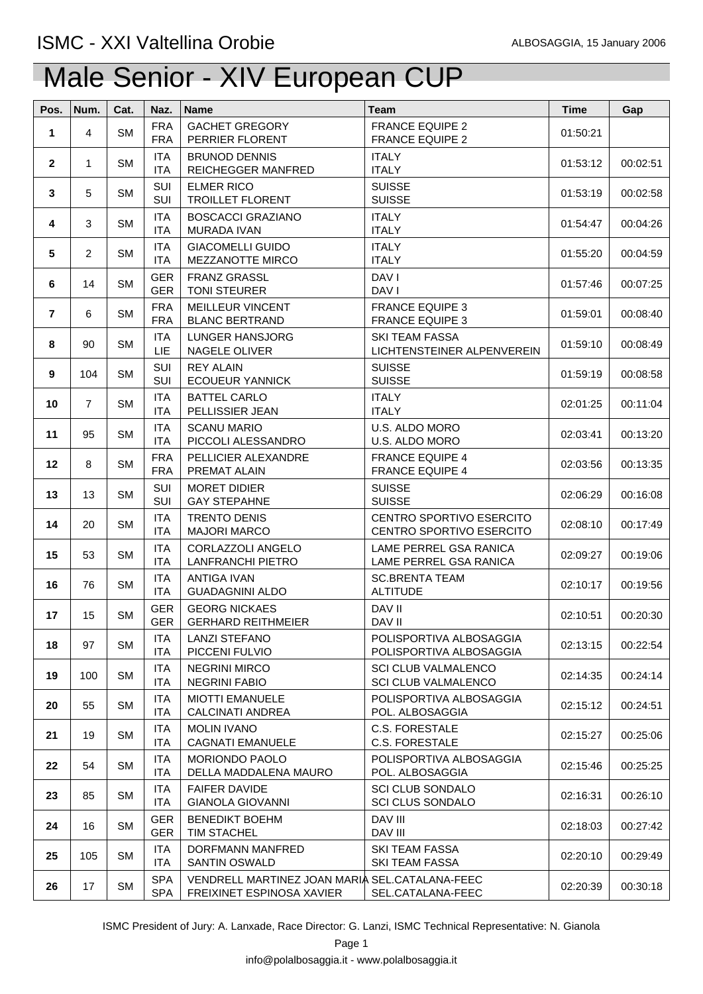| Pos.           | Num.           | Cat.      | Naz.                     | <b>Name</b>                                                                 | Team                                                        | <b>Time</b> | Gap      |
|----------------|----------------|-----------|--------------------------|-----------------------------------------------------------------------------|-------------------------------------------------------------|-------------|----------|
| 1              | $\overline{4}$ | <b>SM</b> | <b>FRA</b><br><b>FRA</b> | <b>GACHET GREGORY</b><br>PERRIER FLORENT                                    | <b>FRANCE EQUIPE 2</b><br><b>FRANCE EQUIPE 2</b>            | 01:50:21    |          |
| $\overline{2}$ | $\mathbf{1}$   | <b>SM</b> | <b>ITA</b><br><b>ITA</b> | <b>BRUNOD DENNIS</b><br>REICHEGGER MANFRED                                  | <b>ITALY</b><br><b>ITALY</b>                                | 01:53:12    | 00:02:51 |
| $\mathbf{3}$   | 5              | <b>SM</b> | SUI<br>SUI               | <b>ELMER RICO</b><br><b>TROILLET FLORENT</b>                                | <b>SUISSE</b><br><b>SUISSE</b>                              | 01:53:19    | 00:02:58 |
| 4              | 3              | <b>SM</b> | <b>ITA</b><br><b>ITA</b> | <b>BOSCACCI GRAZIANO</b><br>MURADA IVAN                                     | <b>ITALY</b><br><b>ITALY</b>                                | 01:54:47    | 00:04:26 |
| 5              | $\overline{2}$ | <b>SM</b> | <b>ITA</b><br><b>ITA</b> | <b>GIACOMELLI GUIDO</b><br>MEZZANOTTE MIRCO                                 | <b>ITALY</b><br><b>ITALY</b>                                | 01:55:20    | 00:04:59 |
| 6              | 14             | <b>SM</b> | <b>GER</b><br><b>GER</b> | <b>FRANZ GRASSL</b><br><b>TONI STEURER</b>                                  | DAV I<br>DAV I                                              | 01:57:46    | 00:07:25 |
| $\overline{7}$ | 6              | <b>SM</b> | <b>FRA</b><br><b>FRA</b> | <b>MEILLEUR VINCENT</b><br><b>BLANC BERTRAND</b>                            | <b>FRANCE EQUIPE 3</b><br><b>FRANCE EQUIPE 3</b>            | 01:59:01    | 00:08:40 |
| 8              | 90             | <b>SM</b> | <b>ITA</b><br><b>LIE</b> | <b>LUNGER HANSJORG</b><br>NAGELE OLIVER                                     | <b>SKI TEAM FASSA</b><br>LICHTENSTEINER ALPENVEREIN         | 01:59:10    | 00:08:49 |
| 9              | 104            | <b>SM</b> | SUI<br>SUI               | <b>REY ALAIN</b><br><b>ECOUEUR YANNICK</b>                                  | <b>SUISSE</b><br><b>SUISSE</b>                              | 01:59:19    | 00:08:58 |
| 10             | $\overline{7}$ | <b>SM</b> | ITA<br>ITA               | <b>BATTEL CARLO</b><br>PELLISSIER JEAN                                      | <b>ITALY</b><br><b>ITALY</b>                                | 02:01:25    | 00:11:04 |
| 11             | 95             | <b>SM</b> | <b>ITA</b><br>ITA        | <b>SCANU MARIO</b><br>PICCOLI ALESSANDRO                                    | U.S. ALDO MORO<br>U.S. ALDO MORO                            | 02:03:41    | 00:13:20 |
| 12             | 8              | <b>SM</b> | <b>FRA</b><br><b>FRA</b> | PELLICIER ALEXANDRE<br>PREMAT ALAIN                                         | <b>FRANCE EQUIPE 4</b><br><b>FRANCE EQUIPE 4</b>            | 02:03:56    | 00:13:35 |
| 13             | 13             | <b>SM</b> | SUI<br>SUI               | <b>MORET DIDIER</b><br><b>GAY STEPAHNE</b>                                  | <b>SUISSE</b><br><b>SUISSE</b>                              | 02:06:29    | 00:16:08 |
| 14             | 20             | <b>SM</b> | <b>ITA</b><br><b>ITA</b> | <b>TRENTO DENIS</b><br><b>MAJORI MARCO</b>                                  | <b>CENTRO SPORTIVO ESERCITO</b><br>CENTRO SPORTIVO ESERCITO | 02:08:10    | 00:17:49 |
| 15             | 53             | <b>SM</b> | <b>ITA</b><br><b>ITA</b> | CORLAZZOLI ANGELO<br>LANFRANCHI PIETRO                                      | LAME PERREL GSA RANICA<br>LAME PERREL GSA RANICA            | 02:09:27    | 00:19:06 |
| 16             | 76             | <b>SM</b> | <b>ITA</b><br>ITA        | <b>ANTIGA IVAN</b><br><b>GUADAGNINI ALDO</b>                                | <b>SC.BRENTA TEAM</b><br><b>ALTITUDE</b>                    | 02:10:17    | 00:19:56 |
| 17             | 15             | <b>SM</b> | <b>GER</b><br><b>GER</b> | <b>GEORG NICKAES</b><br><b>GERHARD REITHMEIER</b>                           | DAV II<br>DAV II                                            | 02:10:51    | 00:20:30 |
| 18             | 97             | <b>SM</b> | <b>ITA</b><br>ITA        | <b>LANZI STEFANO</b><br>PICCENI FULVIO                                      | POLISPORTIVA ALBOSAGGIA<br>POLISPORTIVA ALBOSAGGIA          | 02:13:15    | 00:22:54 |
| 19             | 100            | <b>SM</b> | <b>ITA</b><br><b>ITA</b> | <b>NEGRINI MIRCO</b><br><b>NEGRINI FABIO</b>                                | <b>SCI CLUB VALMALENCO</b><br><b>SCI CLUB VALMALENCO</b>    | 02:14:35    | 00:24:14 |
| 20             | 55             | <b>SM</b> | <b>ITA</b><br><b>ITA</b> | <b>MIOTTI EMANUELE</b><br><b>CALCINATI ANDREA</b>                           | POLISPORTIVA ALBOSAGGIA<br>POL. ALBOSAGGIA                  | 02:15:12    | 00:24:51 |
| 21             | 19             | <b>SM</b> | <b>ITA</b><br><b>ITA</b> | <b>MOLIN IVANO</b><br><b>CAGNATI EMANUELE</b>                               | <b>C.S. FORESTALE</b><br>C.S. FORESTALE                     | 02:15:27    | 00:25:06 |
| 22             | 54             | <b>SM</b> | <b>ITA</b><br><b>ITA</b> | <b>MORIONDO PAOLO</b><br>DELLA MADDALENA MAURO                              | POLISPORTIVA ALBOSAGGIA<br>POL. ALBOSAGGIA                  | 02:15:46    | 00:25:25 |
| 23             | 85             | <b>SM</b> | <b>ITA</b><br><b>ITA</b> | <b>FAIFER DAVIDE</b><br><b>GIANOLA GIOVANNI</b>                             | <b>SCI CLUB SONDALO</b><br><b>SCI CLUS SONDALO</b>          | 02:16:31    | 00:26:10 |
| 24             | 16             | <b>SM</b> | <b>GER</b><br><b>GER</b> | <b>BENEDIKT BOEHM</b><br><b>TIM STACHEL</b>                                 | DAV III<br>DAV III                                          | 02:18:03    | 00:27:42 |
| 25             | 105            | <b>SM</b> | <b>ITA</b><br>ITA        | DORFMANN MANFRED<br><b>SANTIN OSWALD</b>                                    | <b>SKI TEAM FASSA</b><br><b>SKI TEAM FASSA</b>              | 02:20:10    | 00:29:49 |
| 26             | 17             | <b>SM</b> | <b>SPA</b><br><b>SPA</b> | VENDRELL MARTINEZ JOAN MARIA SEL.CATALANA-FEEC<br>FREIXINET ESPINOSA XAVIER | SEL.CATALANA-FEEC                                           | 02:20:39    | 00:30:18 |

ISMC President of Jury: A. Lanxade, Race Director: G. Lanzi, ISMC Technical Representative: N. Gianola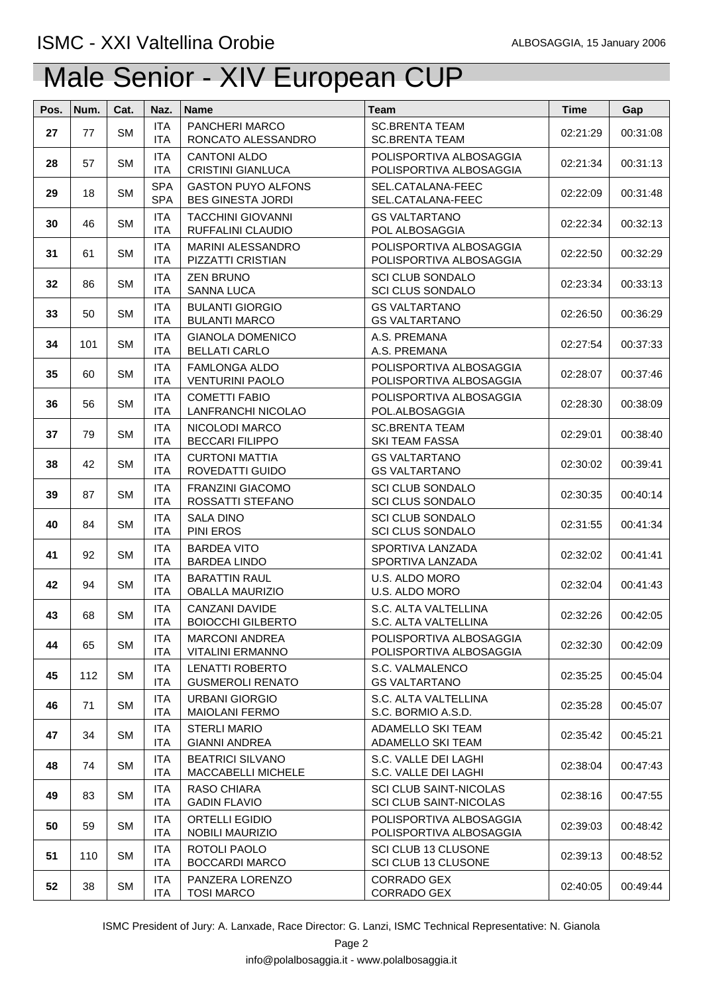| Pos. | Num. | Cat.      | Naz.                     | <b>Name</b>                                           | <b>Team</b>                                                    | <b>Time</b> | Gap      |
|------|------|-----------|--------------------------|-------------------------------------------------------|----------------------------------------------------------------|-------------|----------|
| 27   | 77   | <b>SM</b> | <b>ITA</b><br><b>ITA</b> | PANCHERI MARCO<br>RONCATO ALESSANDRO                  | <b>SC.BRENTA TEAM</b><br><b>SC.BRENTA TEAM</b>                 | 02:21:29    | 00:31:08 |
| 28   | 57   | <b>SM</b> | <b>ITA</b><br><b>ITA</b> | <b>CANTONI ALDO</b><br><b>CRISTINI GIANLUCA</b>       | POLISPORTIVA ALBOSAGGIA<br>POLISPORTIVA ALBOSAGGIA             | 02:21:34    | 00:31:13 |
| 29   | 18   | <b>SM</b> | <b>SPA</b><br><b>SPA</b> | <b>GASTON PUYO ALFONS</b><br><b>BES GINESTA JORDI</b> | SEL.CATALANA-FEEC<br>SEL.CATALANA-FEEC                         | 02:22:09    | 00:31:48 |
| 30   | 46   | <b>SM</b> | <b>ITA</b><br><b>ITA</b> | <b>TACCHINI GIOVANNI</b><br>RUFFALINI CLAUDIO         | <b>GS VALTARTANO</b><br>POL ALBOSAGGIA                         | 02:22:34    | 00:32:13 |
| 31   | 61   | <b>SM</b> | <b>ITA</b><br><b>ITA</b> | <b>MARINI ALESSANDRO</b><br>PIZZATTI CRISTIAN         | POLISPORTIVA ALBOSAGGIA<br>POLISPORTIVA ALBOSAGGIA             | 02:22:50    | 00:32:29 |
| 32   | 86   | <b>SM</b> | <b>ITA</b><br><b>ITA</b> | <b>ZEN BRUNO</b><br>SANNA LUCA                        | <b>SCI CLUB SONDALO</b><br><b>SCI CLUS SONDALO</b>             | 02:23:34    | 00:33:13 |
| 33   | 50   | <b>SM</b> | <b>ITA</b><br><b>ITA</b> | <b>BULANTI GIORGIO</b><br><b>BULANTI MARCO</b>        | <b>GS VALTARTANO</b><br><b>GS VALTARTANO</b>                   | 02:26:50    | 00:36:29 |
| 34   | 101  | <b>SM</b> | <b>ITA</b><br><b>ITA</b> | <b>GIANOLA DOMENICO</b><br><b>BELLATI CARLO</b>       | A.S. PREMANA<br>A.S. PREMANA                                   | 02:27:54    | 00:37:33 |
| 35   | 60   | <b>SM</b> | <b>ITA</b><br><b>ITA</b> | <b>FAMLONGA ALDO</b><br><b>VENTURINI PAOLO</b>        | POLISPORTIVA ALBOSAGGIA<br>POLISPORTIVA ALBOSAGGIA             | 02:28:07    | 00:37:46 |
| 36   | 56   | <b>SM</b> | <b>ITA</b><br><b>ITA</b> | <b>COMETTI FABIO</b><br>LANFRANCHI NICOLAO            | POLISPORTIVA ALBOSAGGIA<br>POL.ALBOSAGGIA                      | 02:28:30    | 00:38:09 |
| 37   | 79   | <b>SM</b> | <b>ITA</b><br><b>ITA</b> | NICOLODI MARCO<br><b>BECCARI FILIPPO</b>              | <b>SC.BRENTA TEAM</b><br><b>SKI TEAM FASSA</b>                 | 02:29:01    | 00:38:40 |
| 38   | 42   | <b>SM</b> | <b>ITA</b><br><b>ITA</b> | <b>CURTONI MATTIA</b><br>ROVEDATTI GUIDO              | <b>GS VALTARTANO</b><br><b>GS VALTARTANO</b>                   | 02:30:02    | 00:39:41 |
| 39   | 87   | <b>SM</b> | <b>ITA</b><br><b>ITA</b> | <b>FRANZINI GIACOMO</b><br>ROSSATTI STEFANO           | <b>SCI CLUB SONDALO</b><br><b>SCI CLUS SONDALO</b>             | 02:30:35    | 00:40:14 |
| 40   | 84   | <b>SM</b> | <b>ITA</b><br><b>ITA</b> | <b>SALA DINO</b><br>PINI EROS                         | <b>SCI CLUB SONDALO</b><br><b>SCI CLUS SONDALO</b>             | 02:31:55    | 00:41:34 |
| 41   | 92   | <b>SM</b> | <b>ITA</b><br><b>ITA</b> | <b>BARDEA VITO</b><br><b>BARDEA LINDO</b>             | SPORTIVA LANZADA<br>SPORTIVA LANZADA                           | 02:32:02    | 00:41:41 |
| 42   | 94   | <b>SM</b> | <b>ITA</b><br><b>ITA</b> | <b>BARATTIN RAUL</b><br><b>OBALLA MAURIZIO</b>        | U.S. ALDO MORO<br>U.S. ALDO MORO                               | 02:32:04    | 00:41:43 |
| 43   | 68   | <b>SM</b> | <b>ITA</b><br><b>ITA</b> | <b>CANZANI DAVIDE</b><br><b>BOIOCCHI GILBERTO</b>     | S.C. ALTA VALTELLINA<br>S.C. ALTA VALTELLINA                   | 02:32:26    | 00:42:05 |
| 44   | 65   | SM        | <b>ITA</b><br>ITA        | <b>MARCONI ANDREA</b><br><b>VITALINI ERMANNO</b>      | POLISPORTIVA ALBOSAGGIA<br>POLISPORTIVA ALBOSAGGIA             | 02:32:30    | 00:42:09 |
| 45   | 112  | <b>SM</b> | <b>ITA</b><br><b>ITA</b> | <b>LENATTI ROBERTO</b><br><b>GUSMEROLI RENATO</b>     | S.C. VALMALENCO<br><b>GS VALTARTANO</b>                        | 02:35:25    | 00:45:04 |
| 46   | 71   | <b>SM</b> | <b>ITA</b><br><b>ITA</b> | <b>URBANI GIORGIO</b><br><b>MAIOLANI FERMO</b>        | S.C. ALTA VALTELLINA<br>S.C. BORMIO A.S.D.                     | 02:35:28    | 00:45:07 |
| 47   | 34   | <b>SM</b> | <b>ITA</b><br><b>ITA</b> | <b>STERLI MARIO</b><br><b>GIANNI ANDREA</b>           | ADAMELLO SKI TEAM<br>ADAMELLO SKI TEAM                         | 02:35:42    | 00:45:21 |
| 48   | 74   | <b>SM</b> | <b>ITA</b><br><b>ITA</b> | <b>BEATRICI SILVANO</b><br><b>MACCABELLI MICHELE</b>  | S.C. VALLE DEI LAGHI<br>S.C. VALLE DEI LAGHI                   | 02:38:04    | 00:47:43 |
| 49   | 83   | <b>SM</b> | <b>ITA</b><br><b>ITA</b> | RASO CHIARA<br><b>GADIN FLAVIO</b>                    | <b>SCI CLUB SAINT-NICOLAS</b><br><b>SCI CLUB SAINT-NICOLAS</b> | 02:38:16    | 00:47:55 |
| 50   | 59   | <b>SM</b> | <b>ITA</b><br><b>ITA</b> | <b>ORTELLI EGIDIO</b><br>NOBILI MAURIZIO              | POLISPORTIVA ALBOSAGGIA<br>POLISPORTIVA ALBOSAGGIA             | 02:39:03    | 00:48:42 |
| 51   | 110  | <b>SM</b> | <b>ITA</b><br><b>ITA</b> | ROTOLI PAOLO<br><b>BOCCARDI MARCO</b>                 | SCI CLUB 13 CLUSONE<br>SCI CLUB 13 CLUSONE                     | 02:39:13    | 00:48:52 |
| 52   | 38   | <b>SM</b> | <b>ITA</b><br><b>ITA</b> | PANZERA LORENZO<br><b>TOSI MARCO</b>                  | CORRADO GEX<br>CORRADO GEX                                     | 02:40:05    | 00:49:44 |

ISMC President of Jury: A. Lanxade, Race Director: G. Lanzi, ISMC Technical Representative: N. Gianola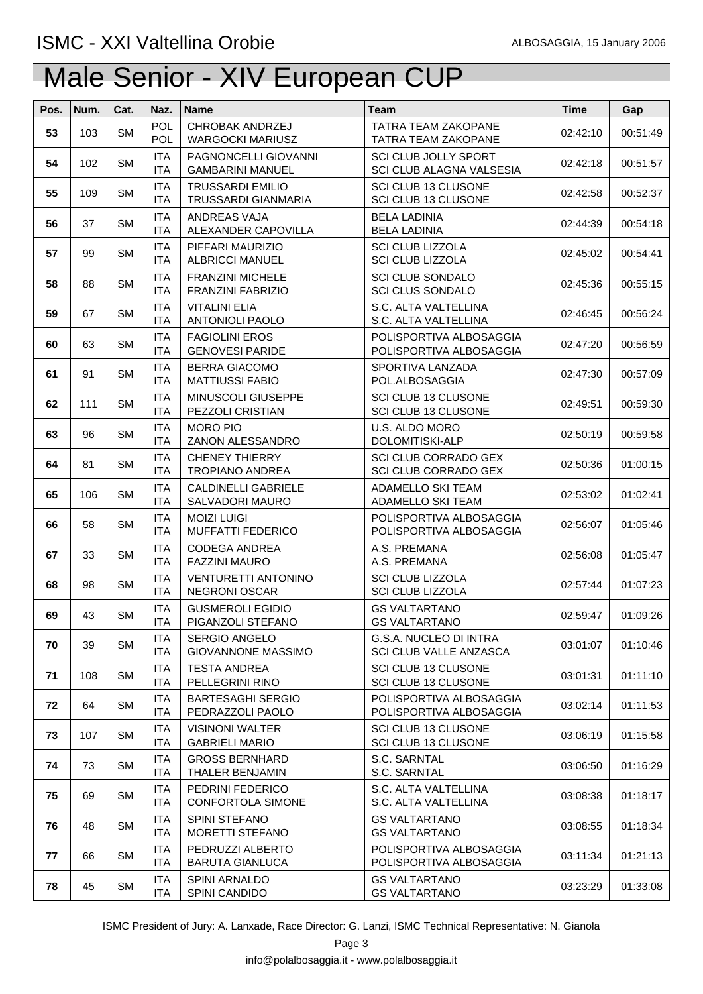| Pos. | Num. | Cat.      | Naz.                     | <b>Name</b>                                            | <b>Team</b>                                                | <b>Time</b> | Gap      |
|------|------|-----------|--------------------------|--------------------------------------------------------|------------------------------------------------------------|-------------|----------|
| 53   | 103  | <b>SM</b> | <b>POL</b><br><b>POL</b> | CHROBAK ANDRZEJ<br><b>WARGOCKI MARIUSZ</b>             | <b>TATRA TEAM ZAKOPANE</b><br>TATRA TEAM ZAKOPANE          | 02:42:10    | 00:51:49 |
| 54   | 102  | <b>SM</b> | <b>ITA</b><br><b>ITA</b> | <b>PAGNONCELLI GIOVANNI</b><br><b>GAMBARINI MANUEL</b> | <b>SCI CLUB JOLLY SPORT</b><br>SCI CLUB ALAGNA VALSESIA    | 02:42:18    | 00:51:57 |
| 55   | 109  | <b>SM</b> | <b>ITA</b><br><b>ITA</b> | <b>TRUSSARDI EMILIO</b><br>TRUSSARDI GIANMARIA         | SCI CLUB 13 CLUSONE<br>SCI CLUB 13 CLUSONE                 | 02:42:58    | 00:52:37 |
| 56   | 37   | <b>SM</b> | <b>ITA</b><br><b>ITA</b> | ANDREAS VAJA<br>ALEXANDER CAPOVILLA                    | <b>BELA LADINIA</b><br><b>BELA LADINIA</b>                 | 02:44:39    | 00:54:18 |
| 57   | 99   | <b>SM</b> | <b>ITA</b><br><b>ITA</b> | PIFFARI MAURIZIO<br><b>ALBRICCI MANUEL</b>             | <b>SCI CLUB LIZZOLA</b><br><b>SCI CLUB LIZZOLA</b>         | 02:45:02    | 00:54:41 |
| 58   | 88   | <b>SM</b> | <b>ITA</b><br><b>ITA</b> | <b>FRANZINI MICHELE</b><br><b>FRANZINI FABRIZIO</b>    | <b>SCI CLUB SONDALO</b><br><b>SCI CLUS SONDALO</b>         | 02:45:36    | 00:55:15 |
| 59   | 67   | <b>SM</b> | <b>ITA</b><br><b>ITA</b> | <b>VITALINI ELIA</b><br><b>ANTONIOLI PAOLO</b>         | S.C. ALTA VALTELLINA<br>S.C. ALTA VALTELLINA               | 02:46:45    | 00:56:24 |
| 60   | 63   | <b>SM</b> | <b>ITA</b><br><b>ITA</b> | <b>FAGIOLINI EROS</b><br><b>GENOVESI PARIDE</b>        | POLISPORTIVA ALBOSAGGIA<br>POLISPORTIVA ALBOSAGGIA         | 02:47:20    | 00:56:59 |
| 61   | 91   | <b>SM</b> | <b>ITA</b><br><b>ITA</b> | <b>BERRA GIACOMO</b><br><b>MATTIUSSI FABIO</b>         | SPORTIVA LANZADA<br>POL.ALBOSAGGIA                         | 02:47:30    | 00:57:09 |
| 62   | 111  | <b>SM</b> | <b>ITA</b><br><b>ITA</b> | <b>MINUSCOLI GIUSEPPE</b><br>PEZZOLI CRISTIAN          | SCI CLUB 13 CLUSONE<br>SCI CLUB 13 CLUSONE                 | 02:49:51    | 00:59:30 |
| 63   | 96   | <b>SM</b> | <b>ITA</b><br><b>ITA</b> | <b>MORO PIO</b><br>ZANON ALESSANDRO                    | U.S. ALDO MORO<br>DOLOMITISKI-ALP                          | 02:50:19    | 00:59:58 |
| 64   | 81   | <b>SM</b> | <b>ITA</b><br><b>ITA</b> | <b>CHENEY THIERRY</b><br><b>TROPIANO ANDREA</b>        | <b>SCI CLUB CORRADO GEX</b><br><b>SCI CLUB CORRADO GEX</b> | 02:50:36    | 01:00:15 |
| 65   | 106  | <b>SM</b> | <b>ITA</b><br><b>ITA</b> | <b>CALDINELLI GABRIELE</b><br>SALVADORI MAURO          | <b>ADAMELLO SKI TEAM</b><br>ADAMELLO SKI TEAM              | 02:53:02    | 01:02:41 |
| 66   | 58   | <b>SM</b> | <b>ITA</b><br><b>ITA</b> | <b>MOIZI LUIGI</b><br><b>MUFFATTI FEDERICO</b>         | POLISPORTIVA ALBOSAGGIA<br>POLISPORTIVA ALBOSAGGIA         | 02:56:07    | 01:05:46 |
| 67   | 33   | <b>SM</b> | <b>ITA</b><br><b>ITA</b> | <b>CODEGA ANDREA</b><br><b>FAZZINI MAURO</b>           | A.S. PREMANA<br>A.S. PREMANA                               | 02:56:08    | 01:05:47 |
| 68   | 98   | <b>SM</b> | <b>ITA</b><br><b>ITA</b> | <b>VENTURETTI ANTONINO</b><br><b>NEGRONI OSCAR</b>     | <b>SCI CLUB LIZZOLA</b><br><b>SCI CLUB LIZZOLA</b>         | 02:57:44    | 01:07:23 |
| 69   | 43   | <b>SM</b> | <b>ITA</b><br><b>ITA</b> | <b>GUSMEROLI EGIDIO</b><br>PIGANZOLI STEFANO           | <b>GS VALTARTANO</b><br><b>GS VALTARTANO</b>               | 02:59:47    | 01:09:26 |
| 70   | 39   | <b>SM</b> | <b>ITA</b><br><b>ITA</b> | SERGIO ANGELO<br><b>GIOVANNONE MASSIMO</b>             | G.S.A. NUCLEO DI INTRA<br>SCI CLUB VALLE ANZASCA           | 03:01:07    | 01:10:46 |
| 71   | 108  | <b>SM</b> | <b>ITA</b><br><b>ITA</b> | <b>TESTA ANDREA</b><br>PELLEGRINI RINO                 | SCI CLUB 13 CLUSONE<br>SCI CLUB 13 CLUSONE                 | 03:01:31    | 01:11:10 |
| 72   | 64   | <b>SM</b> | <b>ITA</b><br><b>ITA</b> | <b>BARTESAGHI SERGIO</b><br>PEDRAZZOLI PAOLO           | POLISPORTIVA ALBOSAGGIA<br>POLISPORTIVA ALBOSAGGIA         | 03:02:14    | 01:11:53 |
| 73   | 107  | <b>SM</b> | <b>ITA</b><br><b>ITA</b> | <b>VISINONI WALTER</b><br><b>GABRIELI MARIO</b>        | SCI CLUB 13 CLUSONE<br>SCI CLUB 13 CLUSONE                 | 03:06:19    | 01:15:58 |
| 74   | 73   | <b>SM</b> | <b>ITA</b><br><b>ITA</b> | <b>GROSS BERNHARD</b><br>THALER BENJAMIN               | S.C. SARNTAL<br>S.C. SARNTAL                               | 03:06:50    | 01:16:29 |
| 75   | 69   | <b>SM</b> | <b>ITA</b><br><b>ITA</b> | PEDRINI FEDERICO<br><b>CONFORTOLA SIMONE</b>           | S.C. ALTA VALTELLINA<br>S.C. ALTA VALTELLINA               | 03:08:38    | 01:18:17 |
| 76   | 48   | <b>SM</b> | <b>ITA</b><br><b>ITA</b> | SPINI STEFANO<br><b>MORETTI STEFANO</b>                | <b>GS VALTARTANO</b><br><b>GS VALTARTANO</b>               | 03:08:55    | 01:18:34 |
| 77   | 66   | <b>SM</b> | <b>ITA</b><br><b>ITA</b> | PEDRUZZI ALBERTO<br><b>BARUTA GIANLUCA</b>             | POLISPORTIVA ALBOSAGGIA<br>POLISPORTIVA ALBOSAGGIA         | 03:11:34    | 01:21:13 |
| 78   | 45   | <b>SM</b> | <b>ITA</b><br><b>ITA</b> | SPINI ARNALDO<br><b>SPINI CANDIDO</b>                  | <b>GS VALTARTANO</b><br><b>GS VALTARTANO</b>               | 03:23:29    | 01:33:08 |

ISMC President of Jury: A. Lanxade, Race Director: G. Lanzi, ISMC Technical Representative: N. Gianola